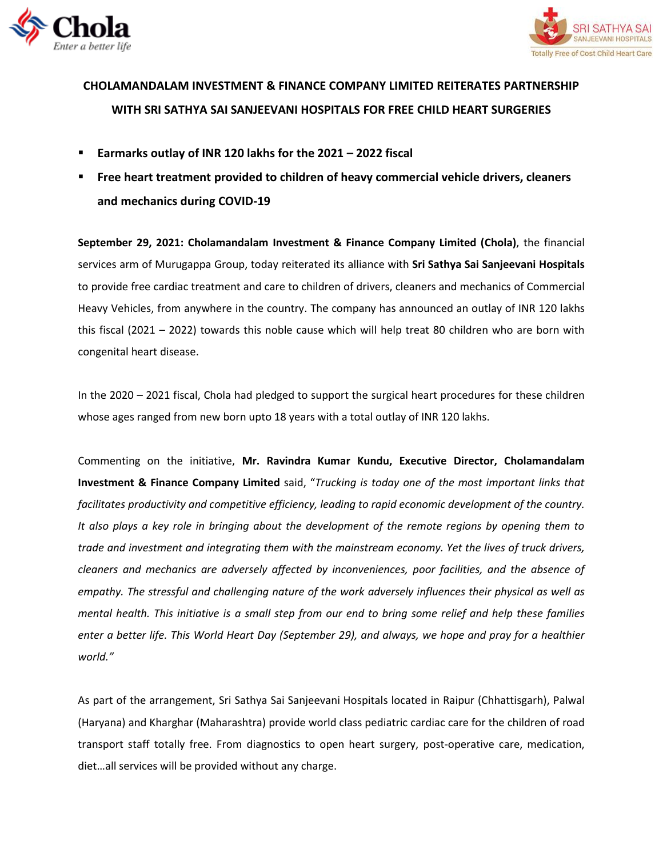



## **CHOLAMANDALAM INVESTMENT & FINANCE COMPANY LIMITED REITERATES PARTNERSHIP WITH SRI SATHYA SAI SANJEEVANI HOSPITALS FOR FREE CHILD HEART SURGERIES**

- **Earmarks outlay of INR 120 lakhs for the 2021 – 2022 fiscal**
- **Free heart treatment provided to children of heavy commercial vehicle drivers, cleaners and mechanics during COVID-19**

**September 29, 2021: Cholamandalam Investment & Finance Company Limited (Chola)**, the financial services arm of Murugappa Group, today reiterated its alliance with **Sri Sathya Sai Sanjeevani Hospitals** to provide free cardiac treatment and care to children of drivers, cleaners and mechanics of Commercial Heavy Vehicles, from anywhere in the country. The company has announced an outlay of INR 120 lakhs this fiscal (2021 – 2022) towards this noble cause which will help treat 80 children who are born with congenital heart disease.

In the 2020 – 2021 fiscal, Chola had pledged to support the surgical heart procedures for these children whose ages ranged from new born upto 18 years with a total outlay of INR 120 lakhs.

Commenting on the initiative, **Mr. Ravindra Kumar Kundu, Executive Director, Cholamandalam Investment & Finance Company Limited** said, "*Trucking is today one of the most important links that facilitates productivity and competitive efficiency, leading to rapid economic development of the country. It also plays a key role in bringing about the development of the remote regions by opening them to trade and investment and integrating them with the mainstream economy. Yet the lives of truck drivers, cleaners and mechanics are adversely affected by inconveniences, poor facilities, and the absence of empathy. The stressful and challenging nature of the work adversely influences their physical as well as mental health. This initiative is a small step from our end to bring some relief and help these families enter a better life. This World Heart Day (September 29), and always, we hope and pray for a healthier world."*

As part of the arrangement, Sri Sathya Sai Sanjeevani Hospitals located in Raipur (Chhattisgarh), Palwal (Haryana) and Kharghar (Maharashtra) provide world class pediatric cardiac care for the children of road transport staff totally free. From diagnostics to open heart surgery, post-operative care, medication, diet…all services will be provided without any charge.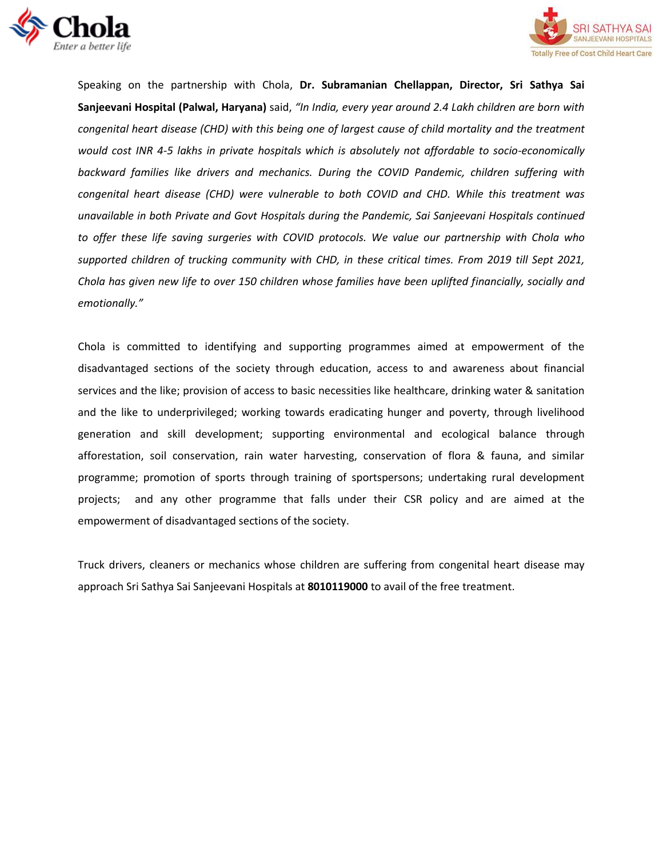



Speaking on the partnership with Chola, **Dr. Subramanian Chellappan, Director, Sri Sathya Sai Sanjeevani Hospital (Palwal, Haryana)** said, *"In India, every year around 2.4 Lakh children are born with congenital heart disease (CHD) with this being one of largest cause of child mortality and the treatment would cost INR 4-5 lakhs in private hospitals which is absolutely not affordable to socio-economically backward families like drivers and mechanics. During the COVID Pandemic, children suffering with congenital heart disease (CHD) were vulnerable to both COVID and CHD. While this treatment was unavailable in both Private and Govt Hospitals during the Pandemic, Sai Sanjeevani Hospitals continued to offer these life saving surgeries with COVID protocols. We value our partnership with Chola who supported children of trucking community with CHD, in these critical times. From 2019 till Sept 2021, Chola has given new life to over 150 children whose families have been uplifted financially, socially and emotionally."*

Chola is committed to identifying and supporting programmes aimed at empowerment of the disadvantaged sections of the society through education, access to and awareness about financial services and the like; provision of access to basic necessities like healthcare, drinking water & sanitation and the like to underprivileged; working towards eradicating hunger and poverty, through livelihood generation and skill development; supporting environmental and ecological balance through afforestation, soil conservation, rain water harvesting, conservation of flora & fauna, and similar programme; promotion of sports through training of sportspersons; undertaking rural development projects; and any other programme that falls under their CSR policy and are aimed at the empowerment of disadvantaged sections of the society.

Truck drivers, cleaners or mechanics whose children are suffering from congenital heart disease may approach Sri Sathya Sai Sanjeevani Hospitals at **8010119000** to avail of the free treatment.